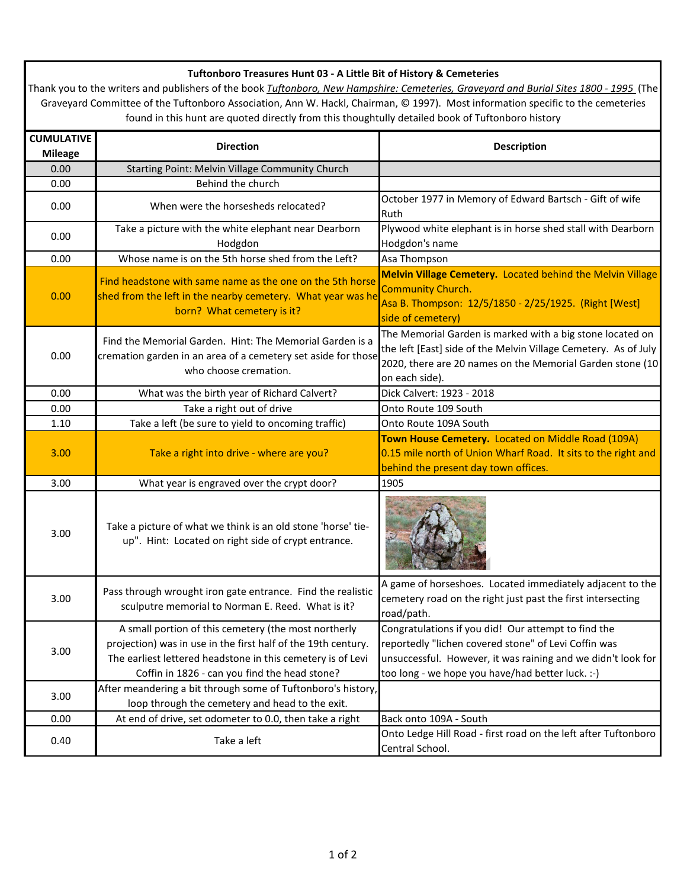## **Tuftonboro Treasures Hunt 03 - A Little Bit of History & Cemeteries**

Thank you to the writers and publishers of the book *Tuftonboro, New Hampshire: Cemeteries, Graveyard and Burial Sites 1800 - 1995* (The Graveyard Committee of the Tuftonboro Association, Ann W. Hackl, Chairman, © 1997). Most information specific to the cemeteries found in this hunt are quoted directly from this thoughtully detailed book of Tuftonboro history

| <b>CUMULATIVE</b><br><b>Mileage</b> | <b>Direction</b>                                                                                                                                                                                                                      | <b>Description</b>                                                                                                                                                                                                              |
|-------------------------------------|---------------------------------------------------------------------------------------------------------------------------------------------------------------------------------------------------------------------------------------|---------------------------------------------------------------------------------------------------------------------------------------------------------------------------------------------------------------------------------|
| 0.00                                | Starting Point: Melvin Village Community Church                                                                                                                                                                                       |                                                                                                                                                                                                                                 |
| 0.00                                | Behind the church                                                                                                                                                                                                                     |                                                                                                                                                                                                                                 |
| 0.00                                | When were the horsesheds relocated?                                                                                                                                                                                                   | October 1977 in Memory of Edward Bartsch - Gift of wife<br>Ruth                                                                                                                                                                 |
| 0.00                                | Take a picture with the white elephant near Dearborn<br>Hodgdon                                                                                                                                                                       | Plywood white elephant is in horse shed stall with Dearborn<br>Hodgdon's name                                                                                                                                                   |
| 0.00                                | Whose name is on the 5th horse shed from the Left?                                                                                                                                                                                    | Asa Thompson                                                                                                                                                                                                                    |
| 0.00                                | Find headstone with same name as the one on the 5th horse<br>shed from the left in the nearby cemetery. What year was he<br>born? What cemetery is it?                                                                                | Melvin Village Cemetery. Located behind the Melvin Village<br><b>Community Church.</b><br>Asa B. Thompson: 12/5/1850 - 2/25/1925. (Right [West]<br>side of cemetery)                                                            |
| 0.00                                | Find the Memorial Garden. Hint: The Memorial Garden is a<br>cremation garden in an area of a cemetery set aside for those<br>who choose cremation.                                                                                    | The Memorial Garden is marked with a big stone located on<br>the left [East] side of the Melvin Village Cemetery. As of July<br>2020, there are 20 names on the Memorial Garden stone (10<br>on each side).                     |
| 0.00                                | What was the birth year of Richard Calvert?                                                                                                                                                                                           | Dick Calvert: 1923 - 2018                                                                                                                                                                                                       |
| 0.00                                | Take a right out of drive                                                                                                                                                                                                             | Onto Route 109 South                                                                                                                                                                                                            |
| 1.10                                | Take a left (be sure to yield to oncoming traffic)                                                                                                                                                                                    | Onto Route 109A South                                                                                                                                                                                                           |
| 3.00                                | Take a right into drive - where are you?                                                                                                                                                                                              | Town House Cemetery. Located on Middle Road (109A)<br>0.15 mile north of Union Wharf Road. It sits to the right and<br>behind the present day town offices.                                                                     |
| 3.00                                | What year is engraved over the crypt door?                                                                                                                                                                                            | 1905                                                                                                                                                                                                                            |
| 3.00                                | Take a picture of what we think is an old stone 'horse' tie-<br>up". Hint: Located on right side of crypt entrance.                                                                                                                   |                                                                                                                                                                                                                                 |
| 3.00                                | Pass through wrought iron gate entrance. Find the realistic<br>sculputre memorial to Norman E. Reed. What is it?                                                                                                                      | A game of horseshoes. Located immediately adjacent to the<br>cemetery road on the right just past the first intersecting<br>road/path.                                                                                          |
| 3.00                                | A small portion of this cemetery (the most northerly<br>projection) was in use in the first half of the 19th century.<br>The earliest lettered headstone in this cemetery is of Levi<br>Coffin in 1826 - can you find the head stone? | Congratulations if you did! Our attempt to find the<br>reportedly "lichen covered stone" of Levi Coffin was<br>unsuccessful. However, it was raining and we didn't look for<br>too long - we hope you have/had better luck. :-) |
| 3.00                                | After meandering a bit through some of Tuftonboro's history,<br>loop through the cemetery and head to the exit.                                                                                                                       |                                                                                                                                                                                                                                 |
| 0.00                                | At end of drive, set odometer to 0.0, then take a right                                                                                                                                                                               | Back onto 109A - South                                                                                                                                                                                                          |
| 0.40                                | Take a left                                                                                                                                                                                                                           | Onto Ledge Hill Road - first road on the left after Tuftonboro<br>Central School.                                                                                                                                               |